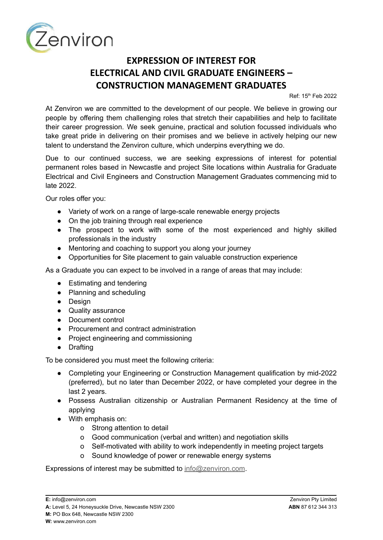

## **EXPRESSION OF INTEREST FOR ELECTRICAL AND CIVIL GRADUATE ENGINEERS – CONSTRUCTION MANAGEMENT GRADUATES**

Ref: 15th Feb 2022

At Zenviron we are committed to the development of our people. We believe in growing our people by offering them challenging roles that stretch their capabilities and help to facilitate their career progression. We seek genuine, practical and solution focussed individuals who take great pride in delivering on their promises and we believe in actively helping our new talent to understand the Zenviron culture, which underpins everything we do.

Due to our continued success, we are seeking expressions of interest for potential permanent roles based in Newcastle and project Site locations within Australia for Graduate Electrical and Civil Engineers and Construction Management Graduates commencing mid to late 2022.

Our roles offer you:

- Variety of work on a range of large-scale renewable energy projects
- On the job training through real experience
- The prospect to work with some of the most experienced and highly skilled professionals in the industry
- Mentoring and coaching to support you along your journey
- Opportunities for Site placement to gain valuable construction experience

As a Graduate you can expect to be involved in a range of areas that may include:

- Estimating and tendering
- Planning and scheduling
- Design
- Quality assurance
- Document control
- Procurement and contract administration
- Project engineering and commissioning
- Drafting

To be considered you must meet the following criteria:

- Completing your Engineering or Construction Management qualification by mid-2022 (preferred), but no later than December 2022, or have completed your degree in the last 2 years.
- Possess Australian citizenship or Australian Permanent Residency at the time of applying
- With emphasis on:
	- o Strong attention to detail
	- o Good communication (verbal and written) and negotiation skills
	- o Self-motivated with ability to work independently in meeting project targets
	- o Sound knowledge of power or renewable energy systems

Expressions of interest may be submitted to [info@zenviron.com](mailto:info@zenviron.com).